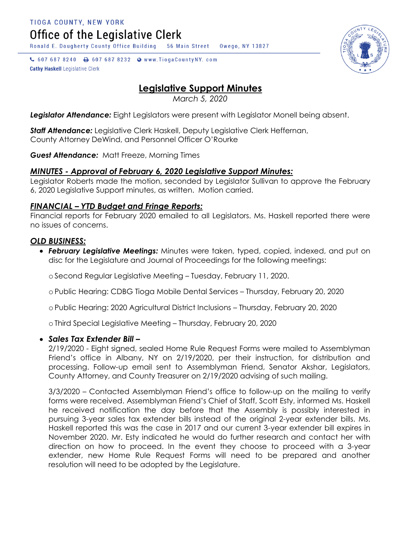Office of the Legislative Clerk

Ronald E. Dougherty County Office Building 56 Main Street Owego, NY 13827

↓ 607 687 8240 → 607 687 8232 → www.TiogaCountyNY.com **Cathy Haskell Legislative Clerk** 

# **Legislative Support Minutes**

*March 5, 2020*

*Legislator Attendance:* Eight Legislators were present with Legislator Monell being absent.

*Staff Attendance:* Legislative Clerk Haskell, Deputy Legislative Clerk Heffernan, County Attorney DeWind, and Personnel Officer O'Rourke

*Guest Attendance:* Matt Freeze, Morning Times

## *MINUTES - Approval of February 6, 2020 Legislative Support Minutes:*

Legislator Roberts made the motion, seconded by Legislator Sullivan to approve the February 6, 2020 Legislative Support minutes, as written. Motion carried.

#### *FINANCIAL – YTD Budget and Fringe Reports:*

Financial reports for February 2020 emailed to all Legislators. Ms. Haskell reported there were no issues of concerns.

#### *OLD BUSINESS:*

 *February Legislative Meetings:* Minutes were taken, typed, copied, indexed, and put on disc for the Legislature and Journal of Proceedings for the following meetings:

oSecond Regular Legislative Meeting – Tuesday, February 11, 2020.

oPublic Hearing: CDBG Tioga Mobile Dental Services – Thursday, February 20, 2020

oPublic Hearing: 2020 Agricultural District Inclusions – Thursday, February 20, 2020

oThird Special Legislative Meeting – Thursday, February 20, 2020

#### *Sales Tax Extender Bill –*

2/19/2020 - Eight signed, sealed Home Rule Request Forms were mailed to Assemblyman Friend's office in Albany, NY on 2/19/2020, per their instruction, for distribution and processing. Follow-up email sent to Assemblyman Friend, Senator Akshar, Legislators, County Attorney, and County Treasurer on 2/19/2020 advising of such mailing.

3/3/2020 – Contacted Assemblyman Friend's office to follow-up on the mailing to verify forms were received. Assemblyman Friend's Chief of Staff, Scott Esty, informed Ms. Haskell he received notification the day before that the Assembly is possibly interested in pursuing 3-year sales tax extender bills instead of the original 2-year extender bills. Ms. Haskell reported this was the case in 2017 and our current 3-year extender bill expires in November 2020. Mr. Esty indicated he would do further research and contact her with direction on how to proceed. In the event they choose to proceed with a 3-year extender, new Home Rule Request Forms will need to be prepared and another resolution will need to be adopted by the Legislature.